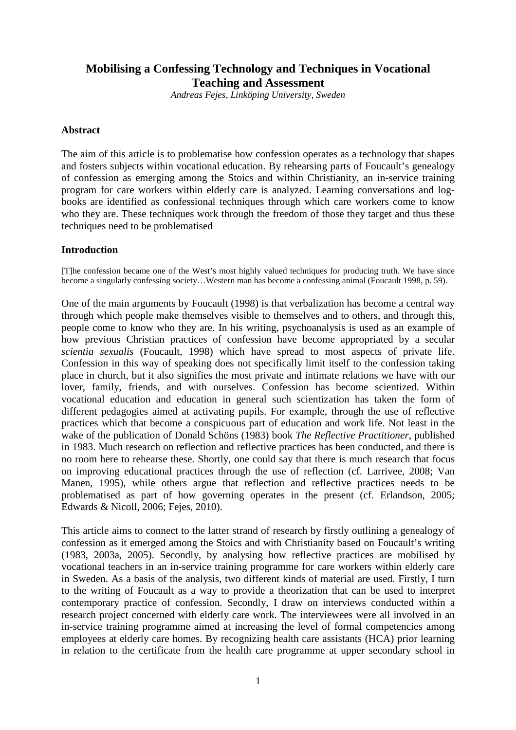# **Mobilising a Confessing Technology and Techniques in Vocational Teaching and Assessment**

*Andreas Fejes, Linköping University, Sweden* 

#### **Abstract**

The aim of this article is to problematise how confession operates as a technology that shapes and fosters subjects within vocational education. By rehearsing parts of Foucault's genealogy of confession as emerging among the Stoics and within Christianity, an in-service training program for care workers within elderly care is analyzed. Learning conversations and logbooks are identified as confessional techniques through which care workers come to know who they are. These techniques work through the freedom of those they target and thus these techniques need to be problematised

#### **Introduction**

[T]he confession became one of the West's most highly valued techniques for producing truth. We have since become a singularly confessing society…Western man has become a confessing animal (Foucault 1998, p. 59).

One of the main arguments by Foucault (1998) is that verbalization has become a central way through which people make themselves visible to themselves and to others, and through this, people come to know who they are. In his writing, psychoanalysis is used as an example of how previous Christian practices of confession have become appropriated by a secular *scientia sexualis* (Foucault, 1998) which have spread to most aspects of private life. Confession in this way of speaking does not specifically limit itself to the confession taking place in church, but it also signifies the most private and intimate relations we have with our lover, family, friends, and with ourselves. Confession has become scientized. Within vocational education and education in general such scientization has taken the form of different pedagogies aimed at activating pupils. For example, through the use of reflective practices which that become a conspicuous part of education and work life. Not least in the wake of the publication of Donald Schöns (1983) book *The Reflective Practitioner*, published in 1983. Much research on reflection and reflective practices has been conducted, and there is no room here to rehearse these. Shortly, one could say that there is much research that focus on improving educational practices through the use of reflection (cf. Larrivee, 2008; Van Manen, 1995), while others argue that reflection and reflective practices needs to be problematised as part of how governing operates in the present (cf. Erlandson, 2005; Edwards & Nicoll, 2006; Fejes, 2010).

This article aims to connect to the latter strand of research by firstly outlining a genealogy of confession as it emerged among the Stoics and with Christianity based on Foucault's writing (1983, 2003a, 2005). Secondly, by analysing how reflective practices are mobilised by vocational teachers in an in-service training programme for care workers within elderly care in Sweden. As a basis of the analysis, two different kinds of material are used. Firstly, I turn to the writing of Foucault as a way to provide a theorization that can be used to interpret contemporary practice of confession. Secondly, I draw on interviews conducted within a research project concerned with elderly care work. The interviewees were all involved in an in-service training programme aimed at increasing the level of formal competencies among employees at elderly care homes. By recognizing health care assistants (HCA) prior learning in relation to the certificate from the health care programme at upper secondary school in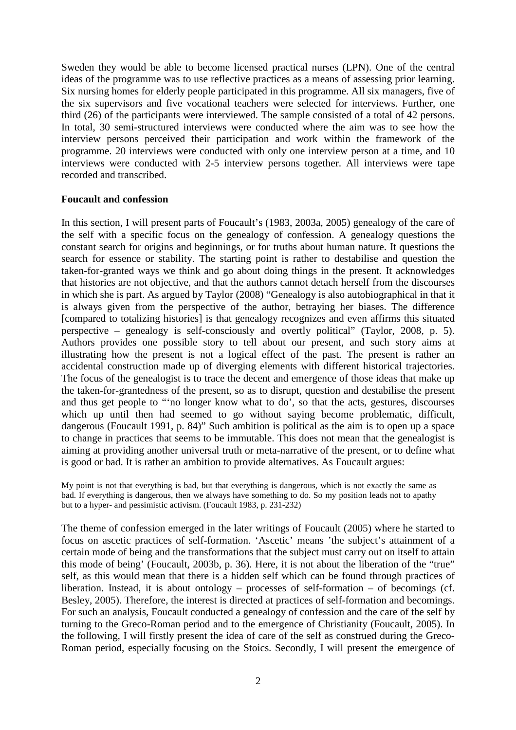Sweden they would be able to become licensed practical nurses (LPN). One of the central ideas of the programme was to use reflective practices as a means of assessing prior learning. Six nursing homes for elderly people participated in this programme. All six managers, five of the six supervisors and five vocational teachers were selected for interviews. Further, one third (26) of the participants were interviewed. The sample consisted of a total of 42 persons. In total, 30 semi-structured interviews were conducted where the aim was to see how the interview persons perceived their participation and work within the framework of the programme. 20 interviews were conducted with only one interview person at a time, and 10 interviews were conducted with 2-5 interview persons together. All interviews were tape recorded and transcribed.

#### **Foucault and confession**

In this section, I will present parts of Foucault's (1983, 2003a, 2005) genealogy of the care of the self with a specific focus on the genealogy of confession. A genealogy questions the constant search for origins and beginnings, or for truths about human nature. It questions the search for essence or stability. The starting point is rather to destabilise and question the taken-for-granted ways we think and go about doing things in the present. It acknowledges that histories are not objective, and that the authors cannot detach herself from the discourses in which she is part. As argued by Taylor (2008) "Genealogy is also autobiographical in that it is always given from the perspective of the author, betraying her biases. The difference [compared to totalizing histories] is that genealogy recognizes and even affirms this situated perspective – genealogy is self-consciously and overtly political" (Taylor, 2008, p. 5). Authors provides one possible story to tell about our present, and such story aims at illustrating how the present is not a logical effect of the past. The present is rather an accidental construction made up of diverging elements with different historical trajectories. The focus of the genealogist is to trace the decent and emergence of those ideas that make up the taken-for-grantedness of the present, so as to disrupt, question and destabilise the present and thus get people to "'no longer know what to do', so that the acts, gestures, discourses which up until then had seemed to go without saying become problematic, difficult, dangerous (Foucault 1991, p. 84)" Such ambition is political as the aim is to open up a space to change in practices that seems to be immutable. This does not mean that the genealogist is aiming at providing another universal truth or meta-narrative of the present, or to define what is good or bad. It is rather an ambition to provide alternatives. As Foucault argues:

My point is not that everything is bad, but that everything is dangerous, which is not exactly the same as bad. If everything is dangerous, then we always have something to do. So my position leads not to apathy but to a hyper- and pessimistic activism. (Foucault 1983, p. 231-232)

The theme of confession emerged in the later writings of Foucault (2005) where he started to focus on ascetic practices of self-formation. 'Ascetic' means 'the subject's attainment of a certain mode of being and the transformations that the subject must carry out on itself to attain this mode of being' (Foucault, 2003b, p. 36). Here, it is not about the liberation of the "true" self, as this would mean that there is a hidden self which can be found through practices of liberation. Instead, it is about ontology – processes of self-formation – of becomings (cf. Besley, 2005). Therefore, the interest is directed at practices of self-formation and becomings. For such an analysis, Foucault conducted a genealogy of confession and the care of the self by turning to the Greco-Roman period and to the emergence of Christianity (Foucault, 2005). In the following, I will firstly present the idea of care of the self as construed during the Greco-Roman period, especially focusing on the Stoics. Secondly, I will present the emergence of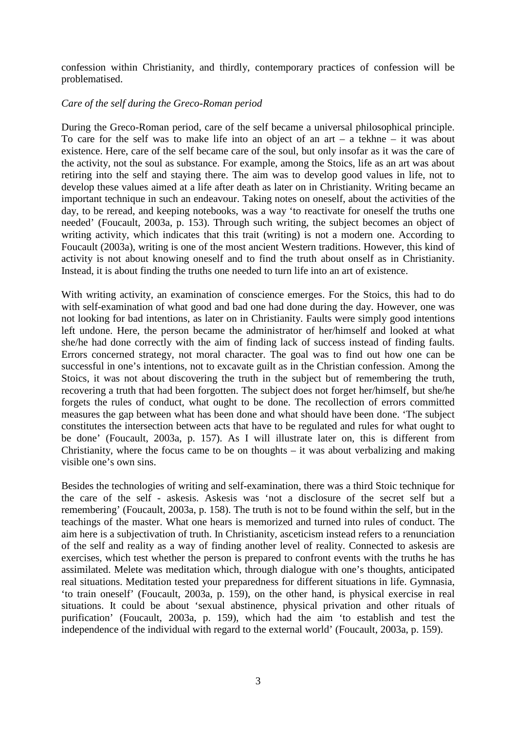confession within Christianity, and thirdly, contemporary practices of confession will be problematised.

## *Care of the self during the Greco-Roman period*

During the Greco-Roman period, care of the self became a universal philosophical principle. To care for the self was to make life into an object of an  $art - a$  tekhne – it was about existence. Here, care of the self became care of the soul, but only insofar as it was the care of the activity, not the soul as substance. For example, among the Stoics, life as an art was about retiring into the self and staying there. The aim was to develop good values in life, not to develop these values aimed at a life after death as later on in Christianity. Writing became an important technique in such an endeavour. Taking notes on oneself, about the activities of the day, to be reread, and keeping notebooks, was a way 'to reactivate for oneself the truths one needed' (Foucault, 2003a, p. 153). Through such writing, the subject becomes an object of writing activity, which indicates that this trait (writing) is not a modern one. According to Foucault (2003a), writing is one of the most ancient Western traditions. However, this kind of activity is not about knowing oneself and to find the truth about onself as in Christianity. Instead, it is about finding the truths one needed to turn life into an art of existence.

With writing activity, an examination of conscience emerges. For the Stoics, this had to do with self-examination of what good and bad one had done during the day. However, one was not looking for bad intentions, as later on in Christianity. Faults were simply good intentions left undone. Here, the person became the administrator of her/himself and looked at what she/he had done correctly with the aim of finding lack of success instead of finding faults. Errors concerned strategy, not moral character. The goal was to find out how one can be successful in one's intentions, not to excavate guilt as in the Christian confession. Among the Stoics, it was not about discovering the truth in the subject but of remembering the truth, recovering a truth that had been forgotten. The subject does not forget her/himself, but she/he forgets the rules of conduct, what ought to be done. The recollection of errors committed measures the gap between what has been done and what should have been done. 'The subject constitutes the intersection between acts that have to be regulated and rules for what ought to be done' (Foucault, 2003a, p. 157). As I will illustrate later on, this is different from Christianity, where the focus came to be on thoughts – it was about verbalizing and making visible one's own sins.

Besides the technologies of writing and self-examination, there was a third Stoic technique for the care of the self - askesis. Askesis was 'not a disclosure of the secret self but a remembering' (Foucault, 2003a, p. 158). The truth is not to be found within the self, but in the teachings of the master. What one hears is memorized and turned into rules of conduct. The aim here is a subjectivation of truth. In Christianity, asceticism instead refers to a renunciation of the self and reality as a way of finding another level of reality. Connected to askesis are exercises, which test whether the person is prepared to confront events with the truths he has assimilated. Melete was meditation which, through dialogue with one's thoughts, anticipated real situations. Meditation tested your preparedness for different situations in life. Gymnasia, 'to train oneself' (Foucault, 2003a, p. 159), on the other hand, is physical exercise in real situations. It could be about 'sexual abstinence, physical privation and other rituals of purification' (Foucault, 2003a, p. 159), which had the aim 'to establish and test the independence of the individual with regard to the external world' (Foucault, 2003a, p. 159).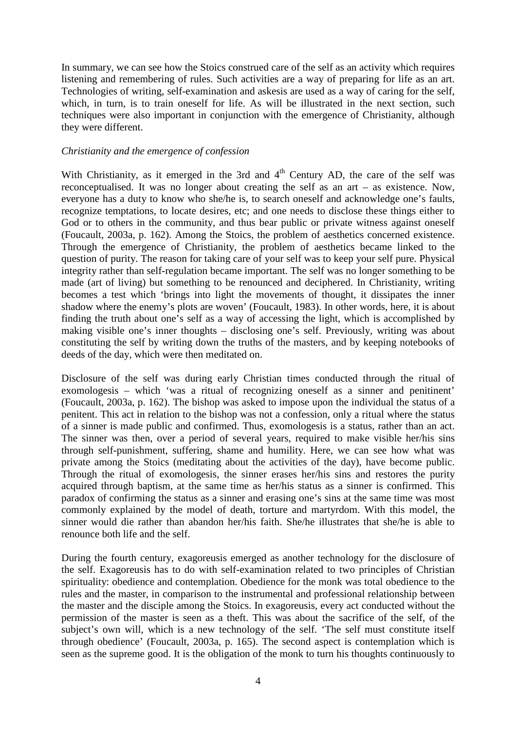In summary, we can see how the Stoics construed care of the self as an activity which requires listening and remembering of rules. Such activities are a way of preparing for life as an art. Technologies of writing, self-examination and askesis are used as a way of caring for the self, which, in turn, is to train oneself for life. As will be illustrated in the next section, such techniques were also important in conjunction with the emergence of Christianity, although they were different.

## *Christianity and the emergence of confession*

With Christianity, as it emerged in the 3rd and  $4<sup>th</sup>$  Century AD, the care of the self was reconceptualised. It was no longer about creating the self as an art – as existence. Now, everyone has a duty to know who she/he is, to search oneself and acknowledge one's faults, recognize temptations, to locate desires, etc; and one needs to disclose these things either to God or to others in the community, and thus bear public or private witness against oneself (Foucault, 2003a, p. 162). Among the Stoics, the problem of aesthetics concerned existence. Through the emergence of Christianity, the problem of aesthetics became linked to the question of purity. The reason for taking care of your self was to keep your self pure. Physical integrity rather than self-regulation became important. The self was no longer something to be made (art of living) but something to be renounced and deciphered. In Christianity, writing becomes a test which 'brings into light the movements of thought, it dissipates the inner shadow where the enemy's plots are woven' (Foucault, 1983). In other words, here, it is about finding the truth about one's self as a way of accessing the light, which is accomplished by making visible one's inner thoughts – disclosing one's self. Previously, writing was about constituting the self by writing down the truths of the masters, and by keeping notebooks of deeds of the day, which were then meditated on.

Disclosure of the self was during early Christian times conducted through the ritual of exomologesis – which 'was a ritual of recognizing oneself as a sinner and penitinent' (Foucault, 2003a, p. 162). The bishop was asked to impose upon the individual the status of a penitent. This act in relation to the bishop was not a confession, only a ritual where the status of a sinner is made public and confirmed. Thus, exomologesis is a status, rather than an act. The sinner was then, over a period of several years, required to make visible her/his sins through self-punishment, suffering, shame and humility. Here, we can see how what was private among the Stoics (meditating about the activities of the day), have become public. Through the ritual of exomologesis, the sinner erases her/his sins and restores the purity acquired through baptism, at the same time as her/his status as a sinner is confirmed. This paradox of confirming the status as a sinner and erasing one's sins at the same time was most commonly explained by the model of death, torture and martyrdom. With this model, the sinner would die rather than abandon her/his faith. She/he illustrates that she/he is able to renounce both life and the self.

During the fourth century, exagoreusis emerged as another technology for the disclosure of the self. Exagoreusis has to do with self-examination related to two principles of Christian spirituality: obedience and contemplation. Obedience for the monk was total obedience to the rules and the master, in comparison to the instrumental and professional relationship between the master and the disciple among the Stoics. In exagoreusis, every act conducted without the permission of the master is seen as a theft. This was about the sacrifice of the self, of the subject's own will, which is a new technology of the self. 'The self must constitute itself through obedience' (Foucault, 2003a, p. 165). The second aspect is contemplation which is seen as the supreme good. It is the obligation of the monk to turn his thoughts continuously to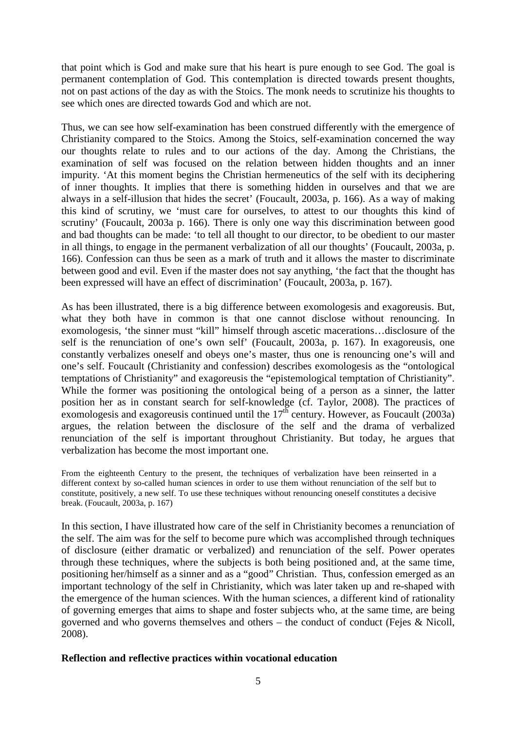that point which is God and make sure that his heart is pure enough to see God. The goal is permanent contemplation of God. This contemplation is directed towards present thoughts, not on past actions of the day as with the Stoics. The monk needs to scrutinize his thoughts to see which ones are directed towards God and which are not.

Thus, we can see how self-examination has been construed differently with the emergence of Christianity compared to the Stoics. Among the Stoics, self-examination concerned the way our thoughts relate to rules and to our actions of the day. Among the Christians, the examination of self was focused on the relation between hidden thoughts and an inner impurity. 'At this moment begins the Christian hermeneutics of the self with its deciphering of inner thoughts. It implies that there is something hidden in ourselves and that we are always in a self-illusion that hides the secret' (Foucault, 2003a, p. 166). As a way of making this kind of scrutiny, we 'must care for ourselves, to attest to our thoughts this kind of scrutiny' (Foucault, 2003a p. 166). There is only one way this discrimination between good and bad thoughts can be made: 'to tell all thought to our director, to be obedient to our master in all things, to engage in the permanent verbalization of all our thoughts' (Foucault, 2003a, p. 166). Confession can thus be seen as a mark of truth and it allows the master to discriminate between good and evil. Even if the master does not say anything, 'the fact that the thought has been expressed will have an effect of discrimination' (Foucault, 2003a, p. 167).

As has been illustrated, there is a big difference between exomologesis and exagoreusis. But, what they both have in common is that one cannot disclose without renouncing. In exomologesis, 'the sinner must "kill" himself through ascetic macerations…disclosure of the self is the renunciation of one's own self' (Foucault, 2003a, p. 167). In exagoreusis, one constantly verbalizes oneself and obeys one's master, thus one is renouncing one's will and one's self. Foucault (Christianity and confession) describes exomologesis as the "ontological temptations of Christianity" and exagoreusis the "epistemological temptation of Christianity". While the former was positioning the ontological being of a person as a sinner, the latter position her as in constant search for self-knowledge (cf. Taylor, 2008). The practices of exomologesis and exagoreusis continued until the  $17^{\text{th}}$  century. However, as Foucault (2003a) argues, the relation between the disclosure of the self and the drama of verbalized renunciation of the self is important throughout Christianity. But today, he argues that verbalization has become the most important one.

From the eighteenth Century to the present, the techniques of verbalization have been reinserted in a different context by so-called human sciences in order to use them without renunciation of the self but to constitute, positively, a new self. To use these techniques without renouncing oneself constitutes a decisive break. (Foucault, 2003a, p. 167)

In this section, I have illustrated how care of the self in Christianity becomes a renunciation of the self. The aim was for the self to become pure which was accomplished through techniques of disclosure (either dramatic or verbalized) and renunciation of the self. Power operates through these techniques, where the subjects is both being positioned and, at the same time, positioning her/himself as a sinner and as a "good" Christian. Thus, confession emerged as an important technology of the self in Christianity, which was later taken up and re-shaped with the emergence of the human sciences. With the human sciences, a different kind of rationality of governing emerges that aims to shape and foster subjects who, at the same time, are being governed and who governs themselves and others – the conduct of conduct (Fejes  $\&$  Nicoll, 2008).

#### **Reflection and reflective practices within vocational education**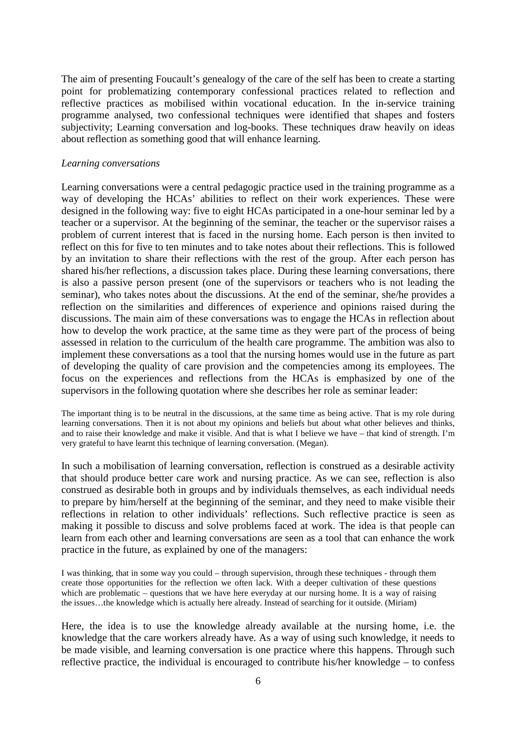The aim of presenting Foucault's genealogy of the care of the self has been to create a starting point for problematizing contemporary confessional practices related to reflection and reflective practices as mobilised within vocational education. In the in-service training programme analysed, two confessional techniques were identified that shapes and fosters subjectivity; Learning conversation and log-books. These techniques draw heavily on ideas about reflection as something good that will enhance learning.

#### *Learning conversations*

Learning conversations were a central pedagogic practice used in the training programme as a way of developing the HCAs' abilities to reflect on their work experiences. These were designed in the following way: five to eight HCAs participated in a one-hour seminar led by a teacher or a supervisor. At the beginning of the seminar, the teacher or the supervisor raises a problem of current interest that is faced in the nursing home. Each person is then invited to reflect on this for five to ten minutes and to take notes about their reflections. This is followed by an invitation to share their reflections with the rest of the group. After each person has shared his/her reflections, a discussion takes place. During these learning conversations, there is also a passive person present (one of the supervisors or teachers who is not leading the seminar), who takes notes about the discussions. At the end of the seminar, she/he provides a reflection on the similarities and differences of experience and opinions raised during the discussions. The main aim of these conversations was to engage the HCAs in reflection about how to develop the work practice, at the same time as they were part of the process of being assessed in relation to the curriculum of the health care programme. The ambition was also to implement these conversations as a tool that the nursing homes would use in the future as part of developing the quality of care provision and the competencies among its employees. The focus on the experiences and reflections from the HCAs is emphasized by one of the supervisors in the following quotation where she describes her role as seminar leader:

The important thing is to be neutral in the discussions, at the same time as being active. That is my role during learning conversations. Then it is not about my opinions and beliefs but about what other believes and thinks, and to raise their knowledge and make it visible. And that is what I believe we have – that kind of strength. I'm very grateful to have learnt this technique of learning conversation. (Megan).

In such a mobilisation of learning conversation, reflection is construed as a desirable activity that should produce better care work and nursing practice. As we can see, reflection is also construed as desirable both in groups and by individuals themselves, as each individual needs to prepare by him/herself at the beginning of the seminar, and they need to make visible their reflections in relation to other individuals' reflections. Such reflective practice is seen as making it possible to discuss and solve problems faced at work. The idea is that people can learn from each other and learning conversations are seen as a tool that can enhance the work practice in the future, as explained by one of the managers:

I was thinking, that in some way you could – through supervision, through these techniques - through them create those opportunities for the reflection we often lack. With a deeper cultivation of these questions which are problematic – questions that we have here everyday at our nursing home. It is a way of raising the issues…the knowledge which is actually here already. Instead of searching for it outside. (Miriam)

Here, the idea is to use the knowledge already available at the nursing home, i.e. the knowledge that the care workers already have. As a way of using such knowledge, it needs to be made visible, and learning conversation is one practice where this happens. Through such reflective practice, the individual is encouraged to contribute his/her knowledge – to confess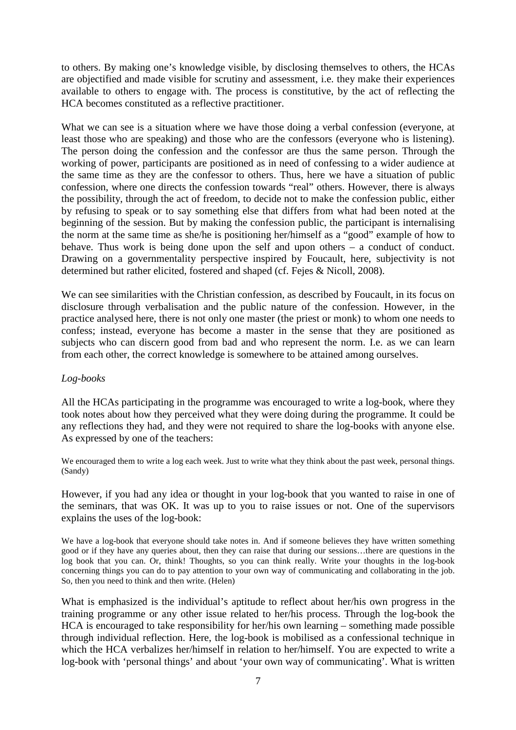to others. By making one's knowledge visible, by disclosing themselves to others, the HCAs are objectified and made visible for scrutiny and assessment, i.e. they make their experiences available to others to engage with. The process is constitutive, by the act of reflecting the HCA becomes constituted as a reflective practitioner.

What we can see is a situation where we have those doing a verbal confession (everyone, at least those who are speaking) and those who are the confessors (everyone who is listening). The person doing the confession and the confessor are thus the same person. Through the working of power, participants are positioned as in need of confessing to a wider audience at the same time as they are the confessor to others. Thus, here we have a situation of public confession, where one directs the confession towards "real" others. However, there is always the possibility, through the act of freedom, to decide not to make the confession public, either by refusing to speak or to say something else that differs from what had been noted at the beginning of the session. But by making the confession public, the participant is internalising the norm at the same time as she/he is positioning her/himself as a "good" example of how to behave. Thus work is being done upon the self and upon others  $-$  a conduct of conduct. Drawing on a governmentality perspective inspired by Foucault, here, subjectivity is not determined but rather elicited, fostered and shaped (cf. Fejes & Nicoll, 2008).

We can see similarities with the Christian confession, as described by Foucault, in its focus on disclosure through verbalisation and the public nature of the confession. However, in the practice analysed here, there is not only one master (the priest or monk) to whom one needs to confess; instead, everyone has become a master in the sense that they are positioned as subjects who can discern good from bad and who represent the norm. I.e. as we can learn from each other, the correct knowledge is somewhere to be attained among ourselves.

#### *Log-books*

All the HCAs participating in the programme was encouraged to write a log-book, where they took notes about how they perceived what they were doing during the programme. It could be any reflections they had, and they were not required to share the log-books with anyone else. As expressed by one of the teachers:

We encouraged them to write a log each week. Just to write what they think about the past week, personal things. (Sandy)

However, if you had any idea or thought in your log-book that you wanted to raise in one of the seminars, that was OK. It was up to you to raise issues or not. One of the supervisors explains the uses of the log-book:

We have a log-book that everyone should take notes in. And if someone believes they have written something good or if they have any queries about, then they can raise that during our sessions…there are questions in the log book that you can. Or, think! Thoughts, so you can think really. Write your thoughts in the log-book concerning things you can do to pay attention to your own way of communicating and collaborating in the job. So, then you need to think and then write. (Helen)

What is emphasized is the individual's aptitude to reflect about her/his own progress in the training programme or any other issue related to her/his process. Through the log-book the HCA is encouraged to take responsibility for her/his own learning – something made possible through individual reflection. Here, the log-book is mobilised as a confessional technique in which the HCA verbalizes her/himself in relation to her/himself. You are expected to write a log-book with 'personal things' and about 'your own way of communicating'. What is written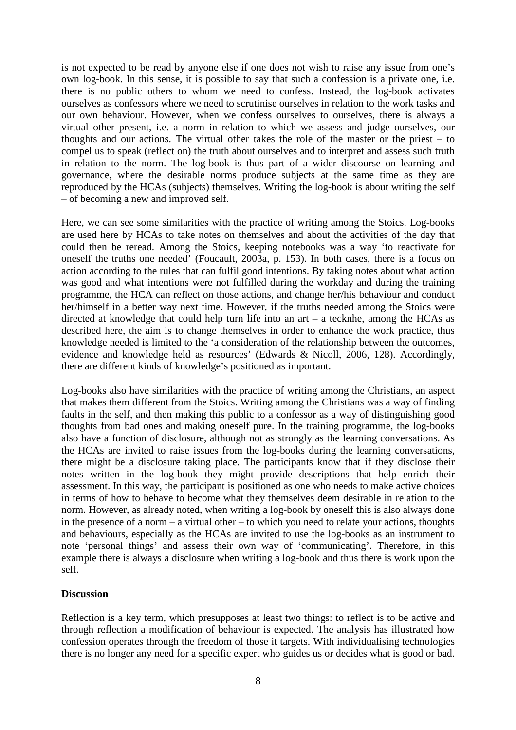is not expected to be read by anyone else if one does not wish to raise any issue from one's own log-book. In this sense, it is possible to say that such a confession is a private one, i.e. there is no public others to whom we need to confess. Instead, the log-book activates ourselves as confessors where we need to scrutinise ourselves in relation to the work tasks and our own behaviour. However, when we confess ourselves to ourselves, there is always a virtual other present, i.e. a norm in relation to which we assess and judge ourselves, our thoughts and our actions. The virtual other takes the role of the master or the priest – to compel us to speak (reflect on) the truth about ourselves and to interpret and assess such truth in relation to the norm. The log-book is thus part of a wider discourse on learning and governance, where the desirable norms produce subjects at the same time as they are reproduced by the HCAs (subjects) themselves. Writing the log-book is about writing the self – of becoming a new and improved self.

Here, we can see some similarities with the practice of writing among the Stoics. Log-books are used here by HCAs to take notes on themselves and about the activities of the day that could then be reread. Among the Stoics, keeping notebooks was a way 'to reactivate for oneself the truths one needed' (Foucault, 2003a, p. 153). In both cases, there is a focus on action according to the rules that can fulfil good intentions. By taking notes about what action was good and what intentions were not fulfilled during the workday and during the training programme, the HCA can reflect on those actions, and change her/his behaviour and conduct her/himself in a better way next time. However, if the truths needed among the Stoics were directed at knowledge that could help turn life into an art – a tecknhe, among the HCAs as described here, the aim is to change themselves in order to enhance the work practice, thus knowledge needed is limited to the 'a consideration of the relationship between the outcomes, evidence and knowledge held as resources' (Edwards & Nicoll, 2006, 128). Accordingly, there are different kinds of knowledge's positioned as important.

Log-books also have similarities with the practice of writing among the Christians, an aspect that makes them different from the Stoics. Writing among the Christians was a way of finding faults in the self, and then making this public to a confessor as a way of distinguishing good thoughts from bad ones and making oneself pure. In the training programme, the log-books also have a function of disclosure, although not as strongly as the learning conversations. As the HCAs are invited to raise issues from the log-books during the learning conversations, there might be a disclosure taking place. The participants know that if they disclose their notes written in the log-book they might provide descriptions that help enrich their assessment. In this way, the participant is positioned as one who needs to make active choices in terms of how to behave to become what they themselves deem desirable in relation to the norm. However, as already noted, when writing a log-book by oneself this is also always done in the presence of a norm – a virtual other – to which you need to relate your actions, thoughts and behaviours, especially as the HCAs are invited to use the log-books as an instrument to note 'personal things' and assess their own way of 'communicating'. Therefore, in this example there is always a disclosure when writing a log-book and thus there is work upon the self.

## **Discussion**

Reflection is a key term, which presupposes at least two things: to reflect is to be active and through reflection a modification of behaviour is expected. The analysis has illustrated how confession operates through the freedom of those it targets. With individualising technologies there is no longer any need for a specific expert who guides us or decides what is good or bad.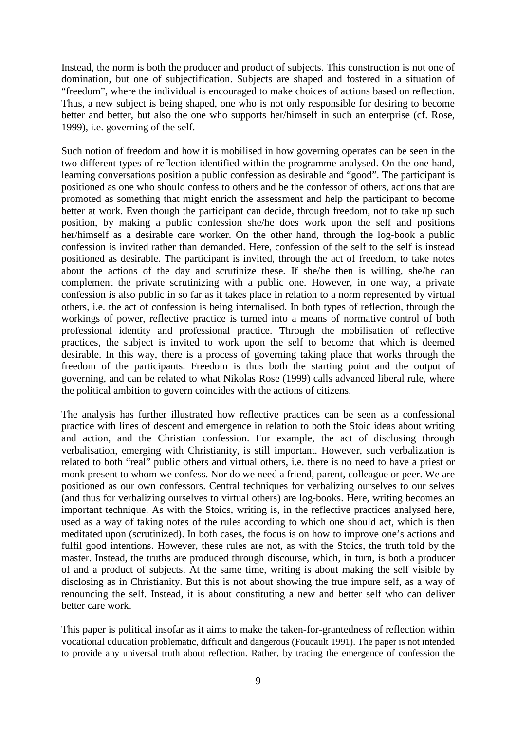Instead, the norm is both the producer and product of subjects. This construction is not one of domination, but one of subjectification. Subjects are shaped and fostered in a situation of "freedom", where the individual is encouraged to make choices of actions based on reflection. Thus, a new subject is being shaped, one who is not only responsible for desiring to become better and better, but also the one who supports her/himself in such an enterprise (cf. Rose, 1999), i.e. governing of the self.

Such notion of freedom and how it is mobilised in how governing operates can be seen in the two different types of reflection identified within the programme analysed. On the one hand, learning conversations position a public confession as desirable and "good". The participant is positioned as one who should confess to others and be the confessor of others, actions that are promoted as something that might enrich the assessment and help the participant to become better at work. Even though the participant can decide, through freedom, not to take up such position, by making a public confession she/he does work upon the self and positions her/himself as a desirable care worker. On the other hand, through the log-book a public confession is invited rather than demanded. Here, confession of the self to the self is instead positioned as desirable. The participant is invited, through the act of freedom, to take notes about the actions of the day and scrutinize these. If she/he then is willing, she/he can complement the private scrutinizing with a public one. However, in one way, a private confession is also public in so far as it takes place in relation to a norm represented by virtual others, i.e. the act of confession is being internalised. In both types of reflection, through the workings of power, reflective practice is turned into a means of normative control of both professional identity and professional practice. Through the mobilisation of reflective practices, the subject is invited to work upon the self to become that which is deemed desirable. In this way, there is a process of governing taking place that works through the freedom of the participants. Freedom is thus both the starting point and the output of governing, and can be related to what Nikolas Rose (1999) calls advanced liberal rule, where the political ambition to govern coincides with the actions of citizens.

The analysis has further illustrated how reflective practices can be seen as a confessional practice with lines of descent and emergence in relation to both the Stoic ideas about writing and action, and the Christian confession. For example, the act of disclosing through verbalisation, emerging with Christianity, is still important. However, such verbalization is related to both "real" public others and virtual others, i.e. there is no need to have a priest or monk present to whom we confess. Nor do we need a friend, parent, colleague or peer. We are positioned as our own confessors. Central techniques for verbalizing ourselves to our selves (and thus for verbalizing ourselves to virtual others) are log-books. Here, writing becomes an important technique. As with the Stoics, writing is, in the reflective practices analysed here, used as a way of taking notes of the rules according to which one should act, which is then meditated upon (scrutinized). In both cases, the focus is on how to improve one's actions and fulfil good intentions. However, these rules are not, as with the Stoics, the truth told by the master. Instead, the truths are produced through discourse, which, in turn, is both a producer of and a product of subjects. At the same time, writing is about making the self visible by disclosing as in Christianity. But this is not about showing the true impure self, as a way of renouncing the self. Instead, it is about constituting a new and better self who can deliver better care work.

This paper is political insofar as it aims to make the taken-for-grantedness of reflection within vocational education problematic, difficult and dangerous (Foucault 1991). The paper is not intended to provide any universal truth about reflection. Rather, by tracing the emergence of confession the